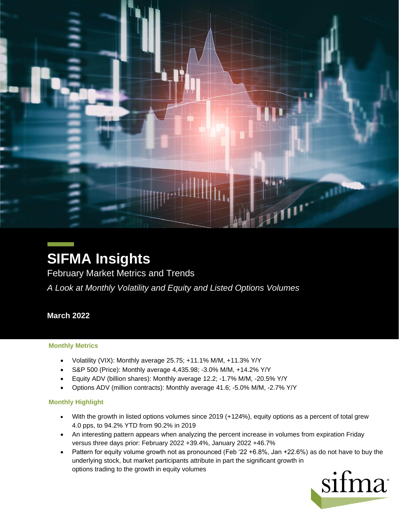

# **SIFMA Insights**

February Market Metrics and Trends

*A Look at Monthly Volatility and Equity and Listed Options Volumes*

## **March 2022**

#### **Monthly Metrics**

- Volatility (VIX): Monthly average 25.75; +11.1% M/M, +11.3% Y/Y
- S&P 500 (Price): Monthly average 4,435.98; -3.0% M/M, +14.2% Y/Y
- Equity ADV (billion shares): Monthly average 12.2; -1.7% M/M, -20.5% Y/Y
- Options ADV (million contracts): Monthly average 41.6; -5.0% M/M, -2.7% Y/Y

#### **Monthly Highlight**

- With the growth in listed options volumes since 2019 (+124%), equity options as a percent of total grew 4.0 pps, to 94.2% YTD from 90.2% in 2019
- An interesting pattern appears when analyzing the percent increase in volumes from expiration Friday versus three days prior: February 2022 +39.4%, January 2022 +46.7%
- Pattern for equity volume growth not as pronounced (Feb '22 +6.8%, Jan +22.6%) as do not have to buy the underlying stock, but market participants attribute in part the significant growth in options trading to the growth in equity volumes

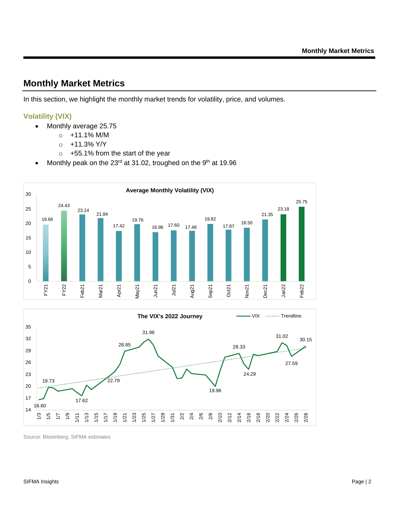## **Monthly Market Metrics**

In this section, we highlight the monthly market trends for volatility, price, and volumes.

#### **Volatility (VIX)**

- Monthly average 25.75
	- $\circ$  +11.1% M/M
	- $O + 11.3\%$  Y/Y
	- o +55.1% from the start of the year
- Monthly peak on the 23 $rd$  at 31.02, troughed on the 9<sup>th</sup> at 19.96





Source: Bloomberg, SIFMA estimates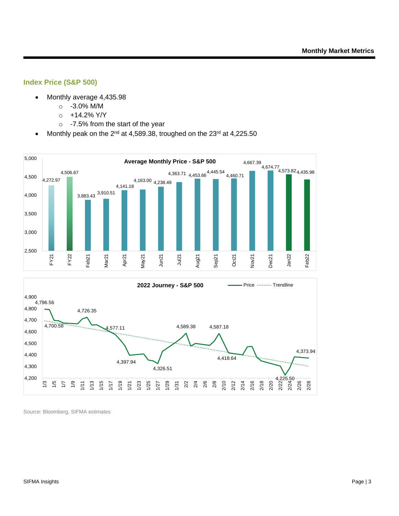#### **Index Price (S&P 500)**

- Monthly average 4,435.98
	- o -3.0% M/M
	- $\circ$  +14.2% Y/Y
	- o -7.5% from the start of the year
- Monthly peak on the 2<sup>nd</sup> at 4,589.38, troughed on the 23<sup>rd</sup> at 4,225.50



Source: Bloomberg, SIFMA estimates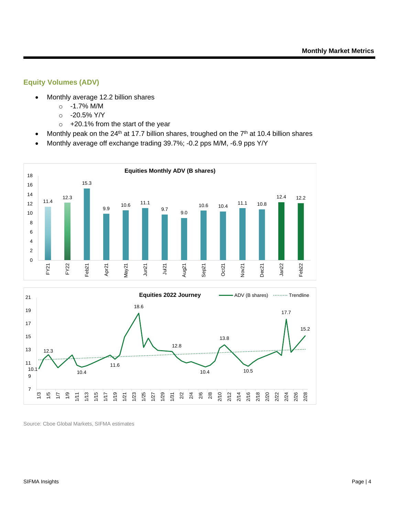#### **Equity Volumes (ADV)**

- Monthly average 12.2 billion shares
	- o -1.7% M/M
	- o -20.5% Y/Y
	- o +20.1% from the start of the year
- Monthly peak on the 24<sup>th</sup> at 17.7 billion shares, troughed on the  $7<sup>th</sup>$  at 10.4 billion shares
- Monthly average off exchange trading 39.7%; -0.2 pps M/M, -6.9 pps Y/Y

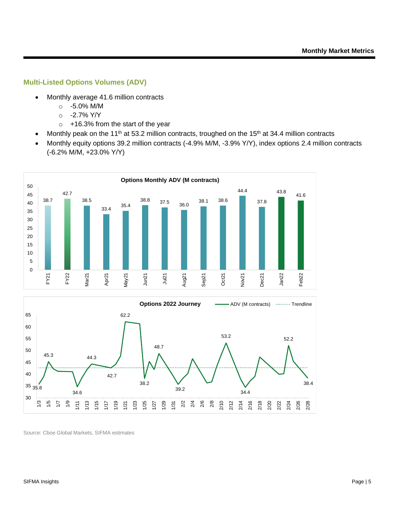#### **Multi-Listed Options Volumes (ADV)**

- Monthly average 41.6 million contracts
	- o -5.0% M/M
	- o -2.7% Y/Y
	- o +16.3% from the start of the year
- Monthly peak on the 11<sup>th</sup> at 53.2 million contracts, troughed on the 15<sup>th</sup> at 34.4 million contracts
- Monthly equity options 39.2 million contracts (-4.9% M/M, -3.9% Y/Y), index options 2.4 million contracts (-6.2% M/M, +23.0% Y/Y)

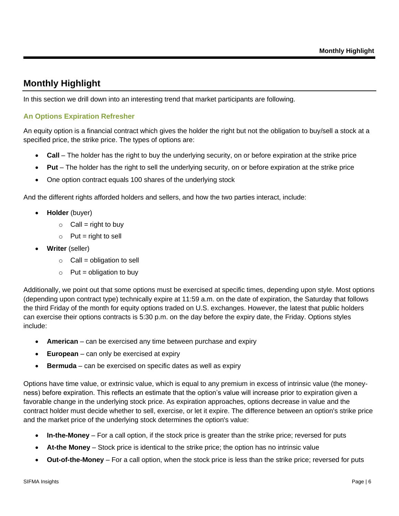# **Monthly Highlight**

In this section we drill down into an interesting trend that market participants are following.

#### **An Options Expiration Refresher**

An equity option is a financial contract which gives the holder the right but not the obligation to buy/sell a stock at a specified price, the strike price. The types of options are:

- **Call** The holder has the right to buy the underlying security, on or before expiration at the strike price
- **Put** The holder has the right to sell the underlying security, on or before expiration at the strike price
- One option contract equals 100 shares of the underlying stock

And the different rights afforded holders and sellers, and how the two parties interact, include:

- **Holder** (buyer)
	- $\circ$  Call = right to buy
	- $\circ$  Put = right to sell
- **Writer** (seller)
	- $\circ$  Call = obligation to sell
	- $\circ$  Put = obligation to buy

Additionally, we point out that some options must be exercised at specific times, depending upon style. Most options (depending upon contract type) technically expire at 11:59 a.m. on the date of expiration, the Saturday that follows the third Friday of the month for equity options traded on U.S. exchanges. However, the latest that public holders can exercise their options contracts is 5:30 p.m. on the day before the expiry date, the Friday. Options styles include:

- **American** can be exercised any time between purchase and expiry
- **European** can only be exercised at expiry
- **Bermuda** can be exercised on specific dates as well as expiry

Options have time value, or extrinsic value, which is equal to any premium in excess of intrinsic value (the moneyness) before expiration. This reflects an estimate that the option's value will increase prior to expiration given a favorable change in the underlying stock price. As expiration approaches, options decrease in value and the contract holder must decide whether to sell, exercise, or let it expire. The difference between an option's strike price and the market price of the underlying stock determines the option's value:

- **In-the-Money** For a call option, if the stock price is greater than the strike price; reversed for puts
- **At-the Money**  Stock price is identical to the strike price; the option has no intrinsic value
- **Out-of-the-Money** For a call option, when the stock price is less than the strike price; reversed for puts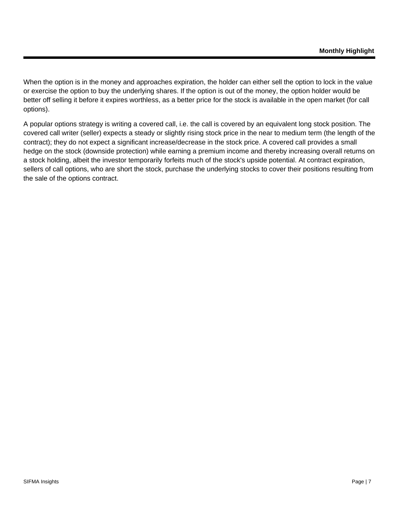When the option is in the money and approaches expiration, the holder can either sell the option to lock in the value or exercise the option to buy the underlying shares. If the option is out of the money, the option holder would be better off selling it before it expires worthless, as a better price for the stock is available in the open market (for call options).

A popular options strategy is writing a covered call, i.e. the call is covered by an equivalent long stock position. The covered call writer (seller) expects a steady or slightly rising stock price in the near to medium term (the length of the contract); they do not expect a significant increase/decrease in the stock price. A covered call provides a small hedge on the stock (downside protection) while earning a premium income and thereby increasing overall returns on a stock holding, albeit the investor temporarily forfeits much of the stock's upside potential. At contract expiration, sellers of call options, who are short the stock, purchase the underlying stocks to cover their positions resulting from the sale of the options contract.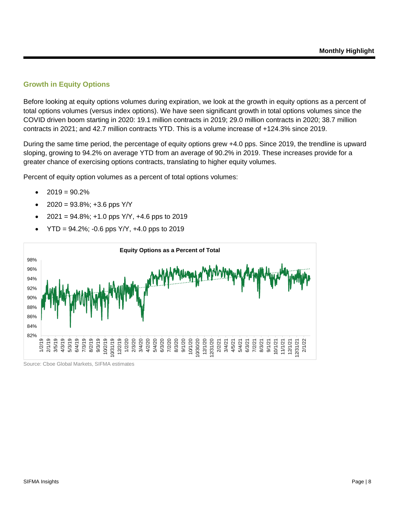#### **Growth in Equity Options**

Before looking at equity options volumes during expiration, we look at the growth in equity options as a percent of total options volumes (versus index options). We have seen significant growth in total options volumes since the COVID driven boom starting in 2020: 19.1 million contracts in 2019; 29.0 million contracts in 2020; 38.7 million contracts in 2021; and 42.7 million contracts YTD. This is a volume increase of +124.3% since 2019.

During the same time period, the percentage of equity options grew +4.0 pps. Since 2019, the trendline is upward sloping, growing to 94.2% on average YTD from an average of 90.2% in 2019. These increases provide for a greater chance of exercising options contracts, translating to higher equity volumes.

Percent of equity option volumes as a percent of total options volumes:

- $2019 = 90.2%$
- $2020 = 93.8\%$ ; +3.6 pps Y/Y
- $2021 = 94.8\%$ ; +1.0 pps Y/Y, +4.6 pps to 2019
- $YTD = 94.2\%$ ; -0.6 pps  $Y/Y$ , +4.0 pps to 2019

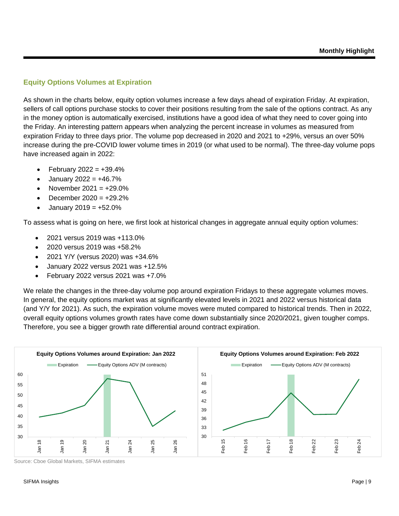#### **Equity Options Volumes at Expiration**

As shown in the charts below, equity option volumes increase a few days ahead of expiration Friday. At expiration, sellers of call options purchase stocks to cover their positions resulting from the sale of the options contract. As any in the money option is automatically exercised, institutions have a good idea of what they need to cover going into the Friday. An interesting pattern appears when analyzing the percent increase in volumes as measured from expiration Friday to three days prior. The volume pop decreased in 2020 and 2021 to +29%, versus an over 50% increase during the pre-COVID lower volume times in 2019 (or what used to be normal). The three-day volume pops have increased again in 2022:

- February  $2022 = +39.4\%$
- January  $2022 = +46.7%$
- November 2021 =  $+29.0\%$
- December  $2020 = +29.2\%$
- January 2019 =  $+52.0\%$

To assess what is going on here, we first look at historical changes in aggregate annual equity option volumes:

- 2021 versus 2019 was +113.0%
- 2020 versus 2019 was +58.2%
- 2021 Y/Y (versus 2020) was +34.6%
- January 2022 versus 2021 was +12.5%
- February 2022 versus 2021 was +7.0%

We relate the changes in the three-day volume pop around expiration Fridays to these aggregate volumes moves. In general, the equity options market was at significantly elevated levels in 2021 and 2022 versus historical data (and Y/Y for 2021). As such, the expiration volume moves were muted compared to historical trends. Then in 2022, overall equity options volumes growth rates have come down substantially since 2020/2021, given tougher comps. Therefore, you see a bigger growth rate differential around contract expiration.

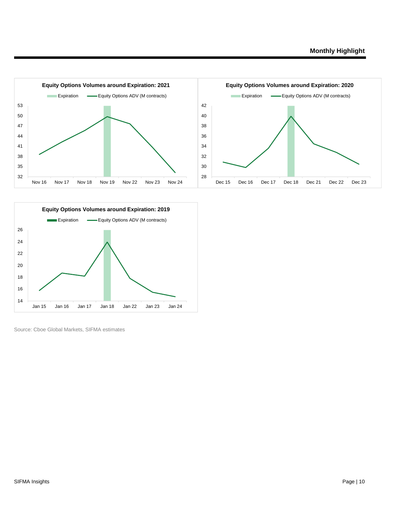

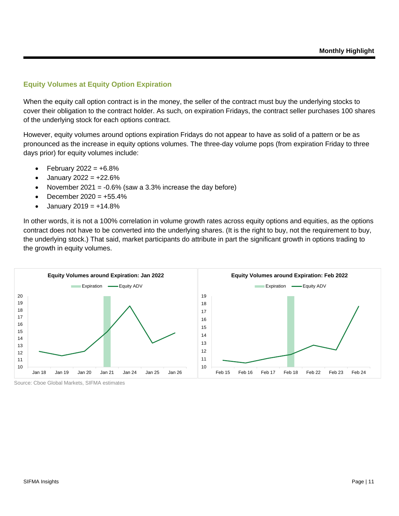#### **Equity Volumes at Equity Option Expiration**

When the equity call option contract is in the money, the seller of the contract must buy the underlying stocks to cover their obligation to the contract holder. As such, on expiration Fridays, the contract seller purchases 100 shares of the underlying stock for each options contract.

However, equity volumes around options expiration Fridays do not appear to have as solid of a pattern or be as pronounced as the increase in equity options volumes. The three-day volume pops (from expiration Friday to three days prior) for equity volumes include:

- February  $2022 = +6.8%$
- January 2022 =  $+22.6%$
- November 2021 =  $-0.6\%$  (saw a 3.3% increase the day before)
- December  $2020 = +55.4\%$
- January 2019 =  $+14.8%$

In other words, it is not a 100% correlation in volume growth rates across equity options and equities, as the options contract does not have to be converted into the underlying shares. (It is the right to buy, not the requirement to buy, the underlying stock.) That said, market participants do attribute in part the significant growth in options trading to the growth in equity volumes.



Source: Cboe Global Markets, SIFMA estimates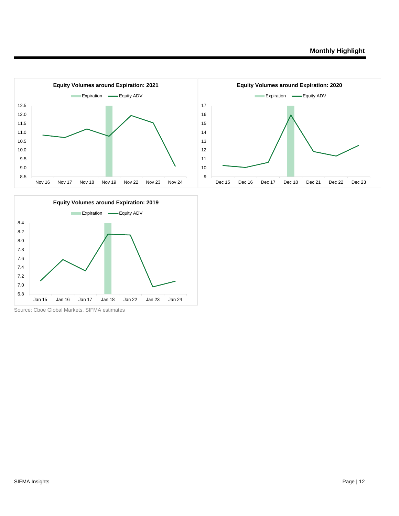